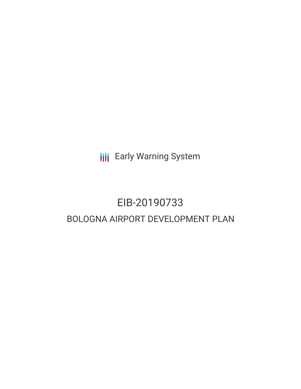**III** Early Warning System

## EIB-20190733 BOLOGNA AIRPORT DEVELOPMENT PLAN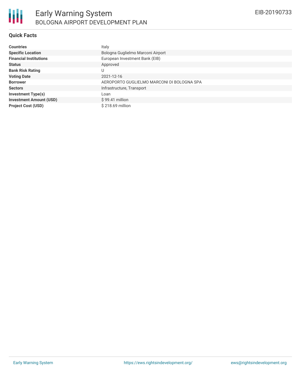## **Quick Facts**

| <b>Countries</b>               | Italy                                      |  |  |  |
|--------------------------------|--------------------------------------------|--|--|--|
| <b>Specific Location</b>       | Bologna Guglielmo Marconi Airport          |  |  |  |
| <b>Financial Institutions</b>  | European Investment Bank (EIB)             |  |  |  |
| <b>Status</b>                  | Approved                                   |  |  |  |
| <b>Bank Risk Rating</b>        |                                            |  |  |  |
| <b>Voting Date</b>             | 2021-12-16                                 |  |  |  |
| <b>Borrower</b>                | AEROPORTO GUGLIELMO MARCONI DI BOLOGNA SPA |  |  |  |
| <b>Sectors</b>                 | Infrastructure, Transport                  |  |  |  |
| <b>Investment Type(s)</b>      | Loan                                       |  |  |  |
| <b>Investment Amount (USD)</b> | $$99.41$ million                           |  |  |  |
| <b>Project Cost (USD)</b>      | $$218.69$ million                          |  |  |  |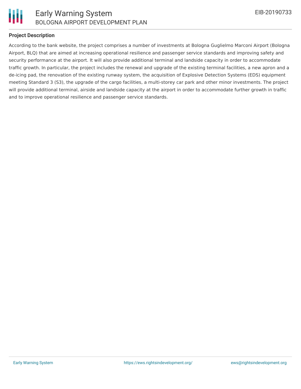

### **Project Description**

According to the bank website, the project comprises a number of investments at Bologna Guglielmo Marconi Airport (Bologna Airport, BLQ) that are aimed at increasing operational resilience and passenger service standards and improving safety and security performance at the airport. It will also provide additional terminal and landside capacity in order to accommodate traffic growth. In particular, the project includes the renewal and upgrade of the existing terminal facilities, a new apron and a de-icing pad, the renovation of the existing runway system, the acquisition of Explosive Detection Systems (EDS) equipment meeting Standard 3 (S3), the upgrade of the cargo facilities, a multi-storey car park and other minor investments. The project will provide additional terminal, airside and landside capacity at the airport in order to accommodate further growth in traffic and to improve operational resilience and passenger service standards.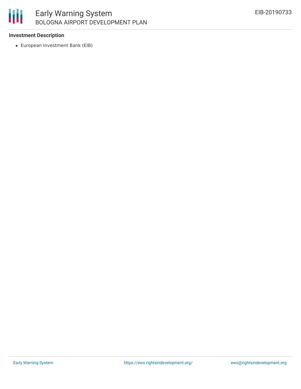# 冊

## Early Warning System BOLOGNA AIRPORT DEVELOPMENT PLAN

## **Investment Description**

European Investment Bank (EIB)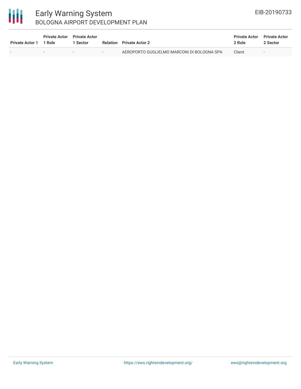## 冊

## Early Warning System BOLOGNA AIRPORT DEVELOPMENT PLAN

| <b>Private Actor 1</b> | <b>Private Actor</b> Private Actor<br>1 Role | 1 Sector |        | <b>Relation</b> Private Actor 2            | <b>Private Actor</b><br>2 Role | <b>Private Actor</b><br>2 Sector |
|------------------------|----------------------------------------------|----------|--------|--------------------------------------------|--------------------------------|----------------------------------|
|                        | $\sim$                                       | . .      | $\sim$ | AEROPORTO GUGLIELMO MARCONI DI BOLOGNA SPA | Client                         | $\sim$                           |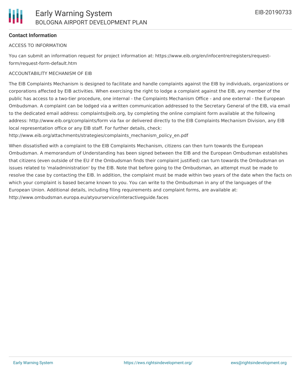## **Contact Information**

#### ACCESS TO INFORMATION

You can submit an information request for project information at: https://www.eib.org/en/infocentre/registers/requestform/request-form-default.htm

#### ACCOUNTABILITY MECHANISM OF EIB

The EIB Complaints Mechanism is designed to facilitate and handle complaints against the EIB by individuals, organizations or corporations affected by EIB activities. When exercising the right to lodge a complaint against the EIB, any member of the public has access to a two-tier procedure, one internal - the Complaints Mechanism Office - and one external - the European Ombudsman. A complaint can be lodged via a written communication addressed to the Secretary General of the EIB, via email to the dedicated email address: complaints@eib.org, by completing the online complaint form available at the following address: http://www.eib.org/complaints/form via fax or delivered directly to the EIB Complaints Mechanism Division, any EIB local representation office or any EIB staff. For further details, check:

http://www.eib.org/attachments/strategies/complaints\_mechanism\_policy\_en.pdf

When dissatisfied with a complaint to the EIB Complaints Mechanism, citizens can then turn towards the European Ombudsman. A memorandum of Understanding has been signed between the EIB and the European Ombudsman establishes that citizens (even outside of the EU if the Ombudsman finds their complaint justified) can turn towards the Ombudsman on issues related to 'maladministration' by the EIB. Note that before going to the Ombudsman, an attempt must be made to resolve the case by contacting the EIB. In addition, the complaint must be made within two years of the date when the facts on which your complaint is based became known to you. You can write to the Ombudsman in any of the languages of the European Union. Additional details, including filing requirements and complaint forms, are available at: http://www.ombudsman.europa.eu/atyourservice/interactiveguide.faces